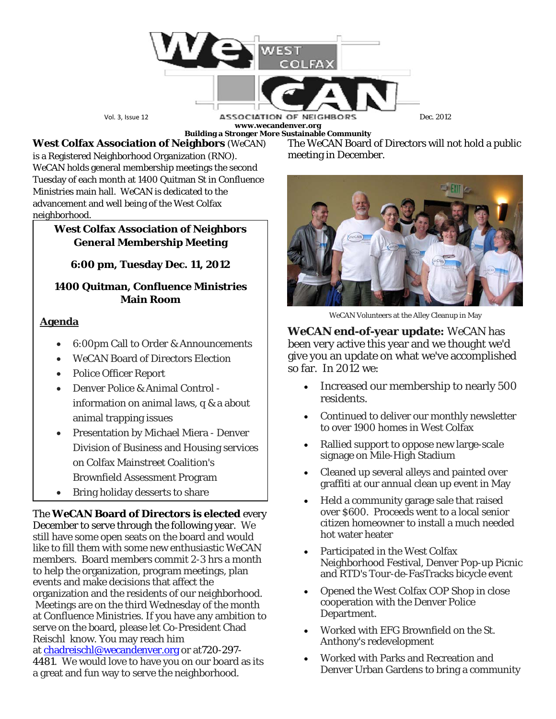

**www.wecandenver.org**

**West Colfax Association of Neighbors** (*WeCAN*) is a Registered Neighborhood Organization (RNO). *WeCAN* holds general membership meetings the second Tuesday of each month at 1400 Quitman St in Confluence Ministries main hall. *WeCAN* is dedicated to the advancement and well being of the West Colfax neighborhood.

### **West Colfax Association of Neighbors General Membership Meeting**

**6:00 pm, Tuesday Dec. 11, 2012**

# **1400 Quitman, Confluence Ministries Main Room**

## **Agenda**

- 6:00pm Call to Order & Announcements
- *WeCAN* Board of Directors Election
- Police Officer Report
- Denver Police & Animal Control information on animal laws, q & a about animal trapping issues
- Presentation by Michael Miera Denver Division of Business and Housing services on Colfax Mainstreet Coalition's Brownfield Assessment Program
- Bring holiday desserts to share

The *WeCAN* **Board of Directors is elected** every December to serve through the following year. We still have some open seats on the board and would like to fill them with some new enthusiastic *WeCAN* members. Board members commit 2-3 hrs a month to help the organization, program meetings, plan events and make decisions that affect the organization and the residents of our neighborhood. Meetings are on the third Wednesday of the month at Confluence Ministries. If you have any ambition to serve on the board, please let Co-President Chad Reischl know. You may reach him at [chadreischl@wecandenver.org](mailto:chadreischl@wecandenver.org) or at720-297- 4481. We would love to have you on our board as its a great and fun way to serve the neighborhood.

**Building a Stronger More Sustainable Community** The *WeCAN* Board of Directors will not hold a public meeting in December.



*WeCAN* Volunteers at the Alley Cleanup in May

*WeCAN* **end-of-year update:** *WeCAN* has been very active this year and we thought we'd give you an update on what we've accomplished so far. In 2012 we:

- Increased our membership to nearly 500 residents.
- Continued to deliver our monthly newsletter to over 1900 homes in West Colfax
- Rallied support to oppose new large-scale signage on Mile-High Stadium
- Cleaned up several alleys and painted over graffiti at our annual clean up event in May
- Held a community garage sale that raised over \$600. Proceeds went to a local senior citizen homeowner to install a much needed hot water heater
- Participated in the West Colfax Neighborhood Festival, Denver Pop-up Picnic and RTD's Tour-de-FasTracks bicycle event
- Opened the West Colfax COP Shop in close cooperation with the Denver Police Department.
- Worked with EFG Brownfield on the St. Anthony's redevelopment
- Worked with Parks and Recreation and Denver Urban Gardens to bring a community